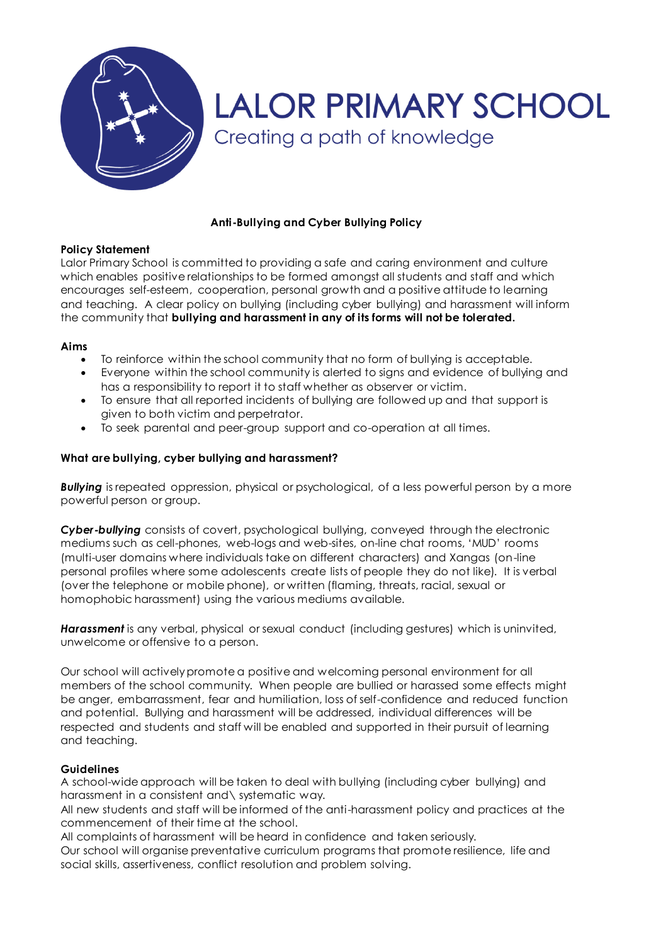

# **LALOR PRIMARY SCHOOL** Creating a path of knowledge

# **Anti-Bullying and Cyber Bullying Policy**

# **Policy Statement**

Lalor Primary School is committed to providing a safe and caring environment and culture which enables positive relationships to be formed amongst all students and staff and which encourages self-esteem, cooperation, personal growth and a positive attitude to learning and teaching. A clear policy on bullying (including cyber bullying) and harassment will inform the community that **bullying and harassment in any of its forms will not be tolerated.**

# **Aims**

- To reinforce within the school community that no form of bullying is acceptable.
- Everyone within the school community is alerted to signs and evidence of bullying and has a responsibility to report it to staff whether as observer or victim.
- To ensure that all reported incidents of bullying are followed up and that support is given to both victim and perpetrator.
- To seek parental and peer-group support and co-operation at all times.

# **What are bullying, cyber bullying and harassment?**

*Bullying* is repeated oppression, physical or psychological, of a less powerful person by a more powerful person or group.

*Cyber-bullying* consists of covert, psychological bullying, conveyed through the electronic mediums such as cell-phones, web-logs and web-sites, on-line chat rooms, 'MUD' rooms (multi-user domains where individuals take on different characters) and Xangas (on-line personal profiles where some adolescents create lists of people they do not like). It is verbal (over the telephone or mobile phone), or written (flaming, threats, racial, sexual or homophobic harassment) using the various mediums available.

*Harassment* is any verbal, physical or sexual conduct (including gestures) which is uninvited, unwelcome or offensive to a person.

Our school will actively promote a positive and welcoming personal environment for all members of the school community. When people are bullied or harassed some effects might be anger, embarrassment, fear and humiliation, loss of self-confidence and reduced function and potential. Bullying and harassment will be addressed, individual differences will be respected and students and staff will be enabled and supported in their pursuit of learning and teaching.

## **Guidelines**

A school-wide approach will be taken to deal with bullying (including cyber bullying) and harassment in a consistent and\ systematic way.

All new students and staff will be informed of the anti-harassment policy and practices at the commencement of their time at the school.

All complaints of harassment will be heard in confidence and taken seriously.

Our school will organise preventative curriculum programs that promote resilience, life and social skills, assertiveness, conflict resolution and problem solving.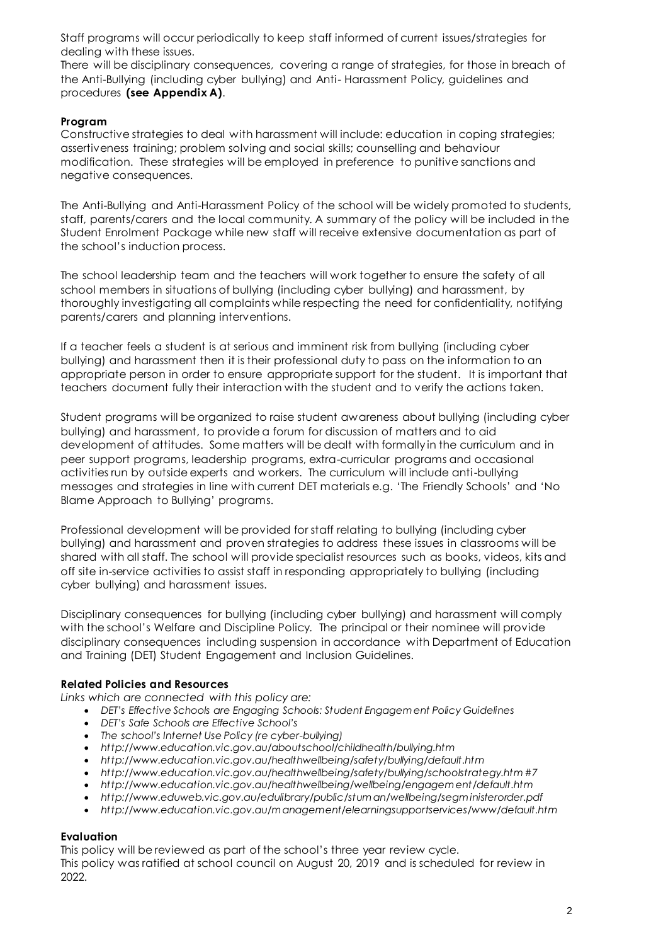Staff programs will occur periodically to keep staff informed of current issues/strategies for dealing with these issues.

There will be disciplinary consequences, covering a range of strategies, for those in breach of the Anti-Bullying (including cyber bullying) and Anti- Harassment Policy, guidelines and procedures **(see Appendix A)**.

# **Program**

Constructive strategies to deal with harassment will include: education in coping strategies; assertiveness training; problem solving and social skills; counselling and behaviour modification. These strategies will be employed in preference to punitive sanctions and negative consequences.

The Anti-Bullying and Anti-Harassment Policy of the school will be widely promoted to students, staff, parents/carers and the local community. A summary of the policy will be included in the Student Enrolment Package while new staff will receive extensive documentation as part of the school's induction process.

The school leadership team and the teachers will work together to ensure the safety of all school members in situations of bullying (including cyber bullying) and harassment, by thoroughly investigating all complaints while respecting the need for confidentiality, notifying parents/carers and planning interventions.

If a teacher feels a student is at serious and imminent risk from bullying (including cyber bullying) and harassment then it is their professional duty to pass on the information to an appropriate person in order to ensure appropriate support for the student. It is important that teachers document fully their interaction with the student and to verify the actions taken.

Student programs will be organized to raise student awareness about bullying (including cyber bullying) and harassment, to provide a forum for discussion of matters and to aid development of attitudes. Some matters will be dealt with formally in the curriculum and in peer support programs, leadership programs, extra-curricular programs and occasional activities run by outside experts and workers. The curriculum will include anti-bullying messages and strategies in line with current DET materials e.g. 'The Friendly Schools' and 'No Blame Approach to Bullying' programs.

Professional development will be provided for staff relating to bullying (including cyber bullying) and harassment and proven strategies to address these issues in classrooms will be shared with all staff. The school will provide specialist resources such as books, videos, kits and off site in-service activities to assist staff in responding appropriately to bullying (including cyber bullying) and harassment issues.

Disciplinary consequences for bullying (including cyber bullying) and harassment will comply with the school's Welfare and Discipline Policy. The principal or their nominee will provide disciplinary consequences including suspension in accordance with Department of Education and Training (DET) Student Engagement and Inclusion Guidelines.

## **Related Policies and Resources**

*Links which are connected with this policy are:*

- *DET's [Effective Schools are Engaging Schools: Student Engagem ent Policy Guidelines](http://www.eduweb.vic.gov.au/edulibrary/public/stuman/wellbeing/segpolicy.pdf)*
- *DET's Safe Schools are [Effective School's](http://www.eduweb.vic.gov.au/edulibrary/public/stuman/wellbeing/SafeSchoolsStrategy.pdf)*
- *The school's Internet Use Policy (re cyber-bullying)*
- *<http://www.education.vic.gov.au/aboutschool/childhealth/bullying.htm>*
- *<http://www.education.vic.gov.au/healthwellbeing/safety/bullying/default.htm>*
- *[http://www.education.vic.gov.au/healthwellbeing/safety/bullying/schoolstrategy.htm #7](http://www.education.vic.gov.au/healthwellbeing/safety/bullying/schoolstrategy.htm#7)*
- *[http://www.education.vic.gov.au/healthwellbeing/wellbeing/engagem ent/default.htm](http://www.education.vic.gov.au/healthwellbeing/wellbeing/engagement/default.htm)*
- *[http://www.eduweb.vic.gov.au/edulibrary/public/stum an/wellbeing/segm inisterorder.pdf](http://www.eduweb.vic.gov.au/edulibrary/public/stuman/wellbeing/segministerorder.pdf)*
- *[http://www.education.vic.gov.au/m anagement/elearningsupportservices/www/default.htm](http://www.education.vic.gov.au/management/elearningsupportservices/www/default.htm)*

## **Evaluation**

This policy will be reviewed as part of the school's three year review cycle. This policy was ratified at school council on August 20, 2019 and is scheduled for review in 2022.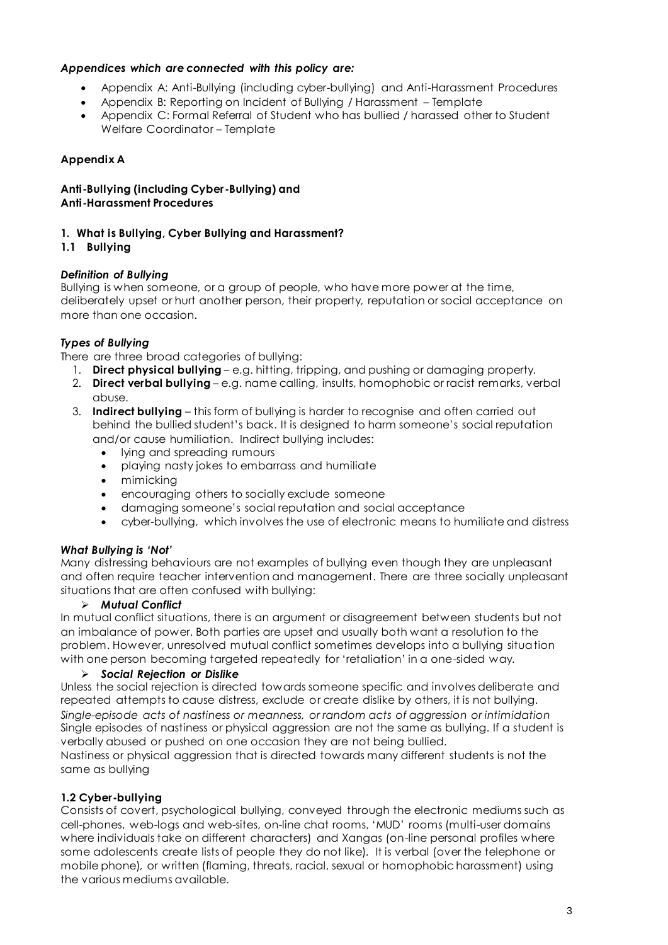# *Appendices which are connected with this policy are:*

- Appendix A: Anti-Bullying (including cyber-bullying) and Anti-Harassment Procedures
- Appendix B: Reporting on Incident of Bullying / Harassment Template
- Appendix C: Formal Referral of Student who has bullied / harassed other to Student Welfare Coordinator – Template

# **Appendix A**

**Anti-Bullying (including Cyber-Bullying) and Anti-Harassment Procedures**

# **1. What is Bullying, Cyber Bullying and Harassment?**

## **1.1 Bullying**

## *Definition of Bullying*

Bullying is when someone, or a group of people, who have more power at the time, deliberately upset or hurt another person, their property, reputation or social acceptance on more than one occasion.

# *Types of Bullying*

There are three broad categories of bullying:

- 1. **Direct physical bullying** e.g. hitting, tripping, and pushing or damaging property.
- 2. **Direct verbal bullying** e.g. name calling, insults, homophobic or racist remarks, verbal abuse.
- 3. **Indirect bullying** this form of bullying is harder to recognise and often carried out behind the bullied student's back. It is designed to harm someone's social reputation and/or cause humiliation. Indirect bullying includes:
	- Iving and spreading rumours
	- playing nasty jokes to embarrass and humiliate
	- mimicking
	- encouraging others to socially exclude someone
	- damaging someone's social reputation and social acceptance
	- cyber-bullying, which involves the use of electronic means to humiliate and distress

## *What Bullying is 'Not'*

Many distressing behaviours are not examples of bullying even though they are unpleasant and often require teacher intervention and management. There are three socially unpleasant situations that are often confused with bullying:

## *Mutual Conflict*

In mutual conflict situations, there is an argument or disagreement between students but not an imbalance of power. Both parties are upset and usually both want a resolution to the problem. However, unresolved mutual conflict sometimes develops into a bullying situation with one person becoming targeted repeatedly for 'retaliation' in a one-sided way.

## *Social Rejection or Dislike*

Unless the social rejection is directed towards someone specific and involves deliberate and repeated attempts to cause distress, exclude or create dislike by others, it is not bullying. *Single-episode acts of nastiness or meanness, or random acts of aggression or intimidation* Single episodes of nastiness or physical aggression are not the same as bullying. If a student is verbally abused or pushed on one occasion they are not being bullied.

Nastiness or physical aggression that is directed towards many different students is not the same as bullying

# **1.2 Cyber-bullying**

Consists of covert, psychological bullying, conveyed through the electronic mediums such as cell-phones, web-logs and web-sites, on-line chat rooms, 'MUD' rooms (multi-user domains where individuals take on different characters) and Xangas (on-line personal profiles where some adolescents create lists of people they do not like). It is verbal (over the telephone or mobile phone), or written (flaming, threats, racial, sexual or homophobic harassment) using the various mediums available.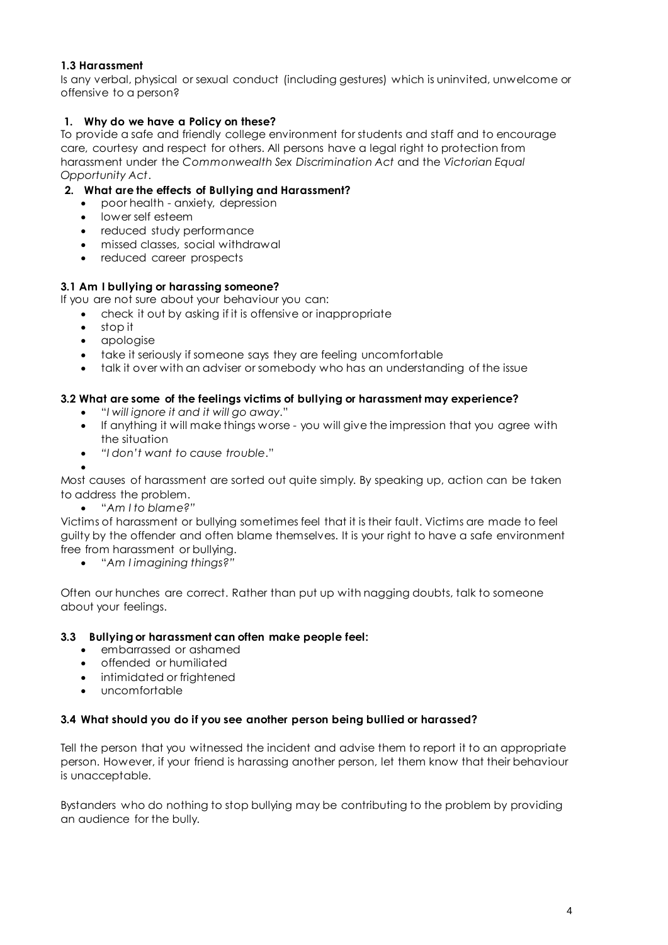# **1.3 Harassment**

Is any verbal, physical or sexual conduct (including gestures) which is uninvited, unwelcome or offensive to a person?

# **1. Why do we have a Policy on these?**

To provide a safe and friendly college environment for students and staff and to encourage care, courtesy and respect for others. All persons have a legal right to protection from harassment under the *Commonwealth Sex Discrimination Act* and the *Victorian Equal Opportunity Act*.

# **2. What are the effects of Bullying and Harassment?**

- poor health anxiety, depression
- lower self esteem
- reduced study performance
- missed classes, social withdrawal
- reduced career prospects

# **3.1 Am I bullying or harassing someone?**

If you are not sure about your behaviour you can:

- check it out by asking if it is offensive or inappropriate
- stop it
- apologise
- take it seriously if someone says they are feeling uncomfortable
- talk it over with an adviser or somebody who has an understanding of the issue

# **3.2 What are some of the feelings victims of bullying or harassment may experience?**

- "*I will ignore it and it will go away*."
- If anything it will make things worse you will give the impression that you agree with the situation
- *"I don't want to cause trouble*."

 $\bullet$ Most causes of harassment are sorted out quite simply. By speaking up, action can be taken to address the problem.

"*Am I to blame?"*

Victims of harassment or bullying sometimes feel that it is their fault. Victims are made to feel guilty by the offender and often blame themselves. It is your right to have a safe environment free from harassment or bullying.

"*Am I imagining things?"*

Often our hunches are correct. Rather than put up with nagging doubts, talk to someone about your feelings.

## **3.3 Bullying or harassment can often make people feel:**

- embarrassed or ashamed
- offended or humiliated
- intimidated or frightened
- uncomfortable

## **3.4 What should you do if you see another person being bullied or harassed?**

Tell the person that you witnessed the incident and advise them to report it to an appropriate person. However, if your friend is harassing another person, let them know that their behaviour is unacceptable.

Bystanders who do nothing to stop bullying may be contributing to the problem by providing an audience for the bully.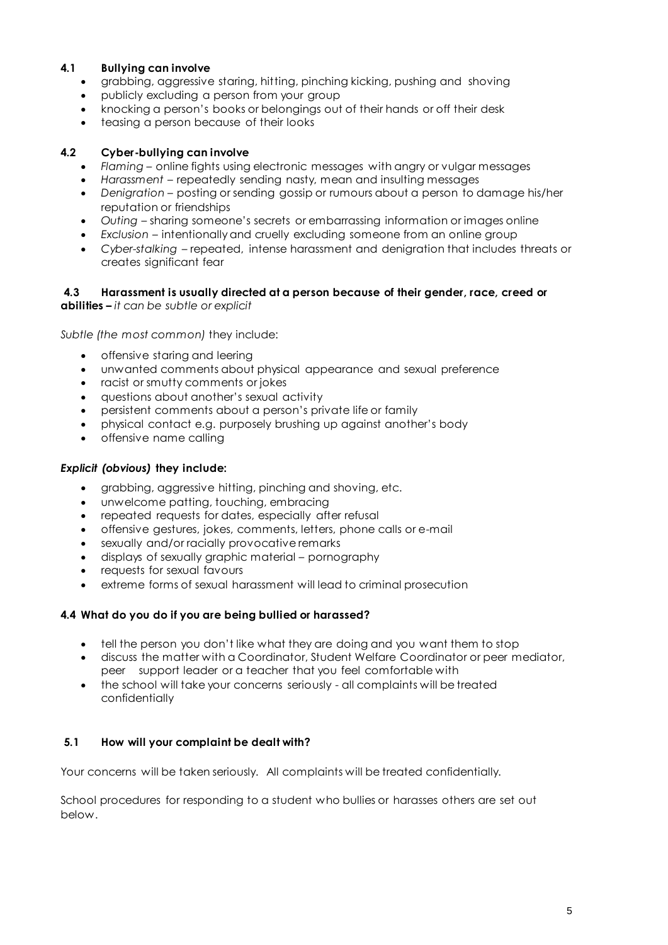# **4.1 Bullying can involve**

- grabbing, aggressive staring, hitting, pinching kicking, pushing and shoving
- publicly excluding a person from your group
- knocking a person's books or belongings out of their hands or off their desk
- teasing a person because of their looks

## **4.2 Cyber-bullying can involve**

- *Flaming*  online fights using electronic messages with angry or vulgar messages
- *Harassment*  repeatedly sending nasty, mean and insulting messages
- *Denigration*  posting or sending gossip or rumours about a person to damage his/her reputation or friendships
- *Outing*  sharing someone's secrets or embarrassing information or images online
- *Exclusion*  intentionally and cruelly excluding someone from an online group
- *Cyber-stalking*  repeated, intense harassment and denigration that includes threats or creates significant fear

## **4.3 Harassment is usually directed at a person because of their gender, race, creed or**

**abilities –** *it can be subtle or explicit*

*Subtle (the most common)* they include:

- offensive staring and leering
- unwanted comments about physical appearance and sexual preference
- racist or smutty comments or jokes
- questions about another's sexual activity
- persistent comments about a person's private life or family
- physical contact e.g. purposely brushing up against another's body
- offensive name calling

## *Explicit (obvious)* **they include:**

- grabbing, aggressive hitting, pinching and shoving, etc.
- unwelcome patting, touching, embracing
- repeated requests for dates, especially after refusal
- offensive gestures, jokes, comments, letters, phone calls or e-mail
- sexually and/or racially provocative remarks
- displays of sexually graphic material pornography
- requests for sexual favours
- extreme forms of sexual harassment will lead to criminal prosecution

## **4.4 What do you do if you are being bullied or harassed?**

- tell the person you don't like what they are doing and you want them to stop
- discuss the matter with a Coordinator, Student Welfare Coordinator or peer mediator, peer support leader or a teacher that you feel comfortable with
- the school will take your concerns seriously all complaints will be treated confidentially

# **5.1 How will your complaint be dealt with?**

Your concerns will be taken seriously. All complaints will be treated confidentially.

School procedures for responding to a student who bullies or harasses others are set out below.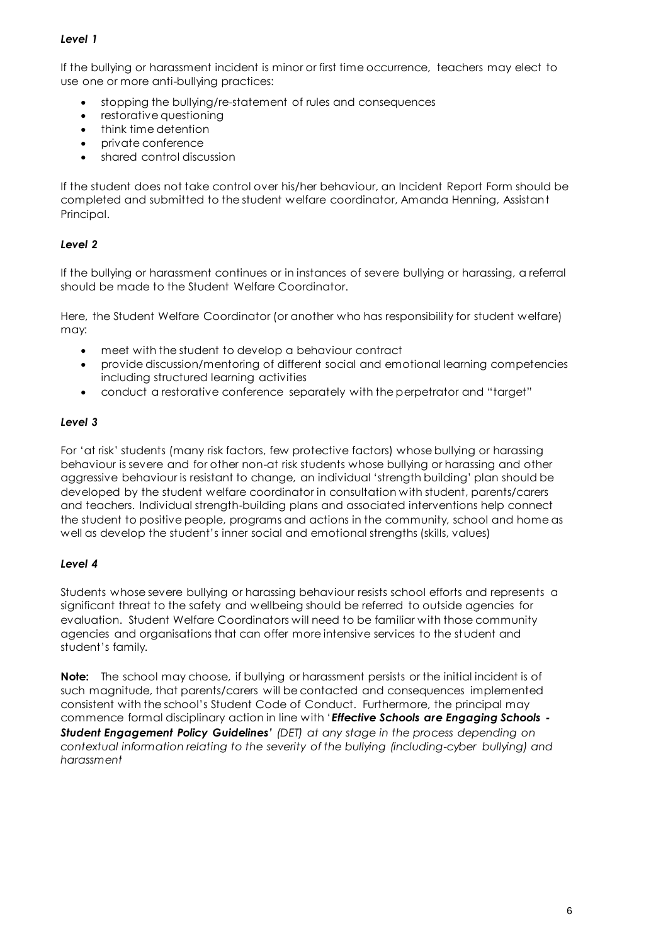# *Level 1*

If the bullying or harassment incident is minor or first time occurrence, teachers may elect to use one or more anti-bullying practices:

- stopping the bullying/re-statement of rules and consequences
- restorative questioning
- think time detention
- private conference
- shared control discussion

If the student does not take control over his/her behaviour, an Incident Report Form should be completed and submitted to the student welfare coordinator, Amanda Henning, Assistant Principal.

# *Level 2*

If the bullying or harassment continues or in instances of severe bullying or harassing, a referral should be made to the Student Welfare Coordinator.

Here, the Student Welfare Coordinator (or another who has responsibility for student welfare) may:

- meet with the student to develop a behaviour contract
- provide discussion/mentoring of different social and emotional learning competencies including structured learning activities
- conduct a restorative conference separately with the perpetrator and "target"

# *Level 3*

For 'at risk' students (many risk factors, few protective factors) whose bullying or harassing behaviour is severe and for other non-at risk students whose bullying or harassing and other aggressive behaviour is resistant to change, an individual 'strength building' plan should be developed by the student welfare coordinator in consultation with student, parents/carers and teachers. Individual strength-building plans and associated interventions help connect the student to positive people, programs and actions in the community, school and home as well as develop the student's inner social and emotional strengths (skills, values)

## *Level 4*

Students whose severe bullying or harassing behaviour resists school efforts and represents a significant threat to the safety and wellbeing should be referred to outside agencies for evaluation. Student Welfare Coordinators will need to be familiar with those community agencies and organisations that can offer more intensive services to the student and student's family.

**Note:** The school may choose, if bullying or harassment persists or the initial incident is of such magnitude, that parents/carers will be contacted and consequences implemented consistent with the school's Student Code of Conduct. Furthermore, the principal may commence formal disciplinary action in line with '*Effective Schools are Engaging Schools - Student Engagement Policy Guidelines' (DET) at any stage in the process depending on contextual information relating to the severity of the bullying (including-cyber bullying) and harassment*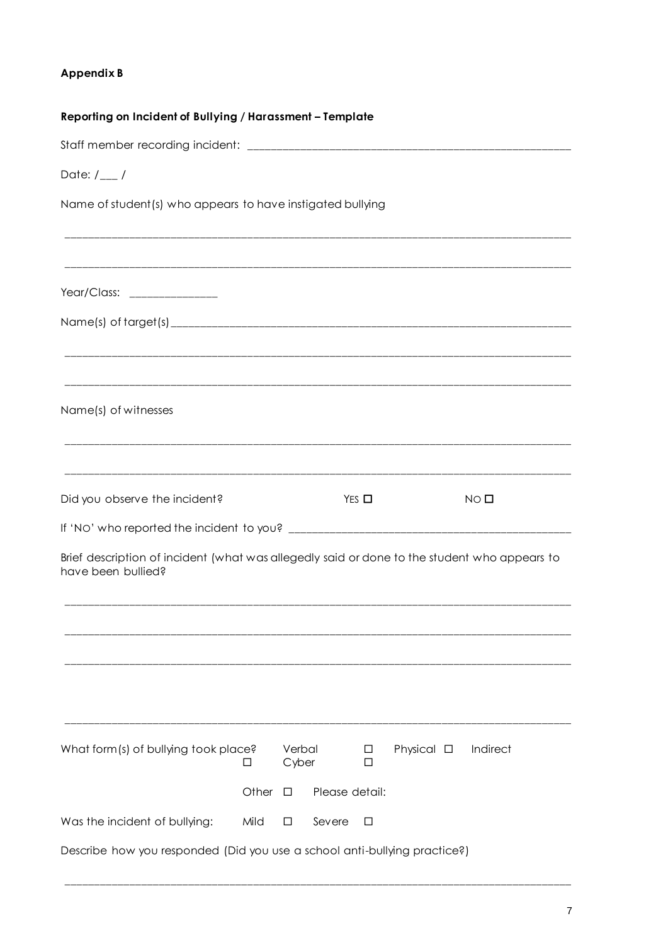# Appendix B

| Reporting on Incident of Bullying / Harassment - Template                                                          |       |                 |                 |                  |                 |                 |  |  |  |
|--------------------------------------------------------------------------------------------------------------------|-------|-----------------|-----------------|------------------|-----------------|-----------------|--|--|--|
|                                                                                                                    |       |                 |                 |                  |                 |                 |  |  |  |
| Date: $/_{---}/$                                                                                                   |       |                 |                 |                  |                 |                 |  |  |  |
| Name of student(s) who appears to have instigated bullying                                                         |       |                 |                 |                  |                 |                 |  |  |  |
|                                                                                                                    |       |                 |                 |                  |                 |                 |  |  |  |
| Year/Class: ________________                                                                                       |       |                 |                 |                  |                 |                 |  |  |  |
|                                                                                                                    |       |                 |                 |                  |                 |                 |  |  |  |
|                                                                                                                    |       |                 |                 |                  |                 |                 |  |  |  |
| Name(s) of witnesses                                                                                               |       |                 |                 |                  |                 |                 |  |  |  |
|                                                                                                                    |       |                 |                 |                  |                 |                 |  |  |  |
| Did you observe the incident?                                                                                      |       |                 | $Yes$ $\square$ |                  |                 | NO <sub>0</sub> |  |  |  |
|                                                                                                                    |       |                 |                 |                  |                 |                 |  |  |  |
| Brief description of incident (what was allegedly said or done to the student who appears to<br>have been bullied? |       |                 |                 |                  |                 |                 |  |  |  |
|                                                                                                                    |       |                 |                 |                  |                 |                 |  |  |  |
|                                                                                                                    |       |                 |                 |                  |                 |                 |  |  |  |
|                                                                                                                    |       |                 |                 |                  |                 |                 |  |  |  |
| What form(s) of bullying took place?                                                                               | □     | Verbal<br>Cyber |                 | $\Box$<br>$\Box$ | Physical $\Box$ | Indirect        |  |  |  |
|                                                                                                                    | Other | □               | Please detail:  |                  |                 |                 |  |  |  |
| Was the incident of bullying:                                                                                      | Mild  | □               | Severe          | $\Box$           |                 |                 |  |  |  |
| Describe how you responded (Did you use a school anti-bullying practice?)                                          |       |                 |                 |                  |                 |                 |  |  |  |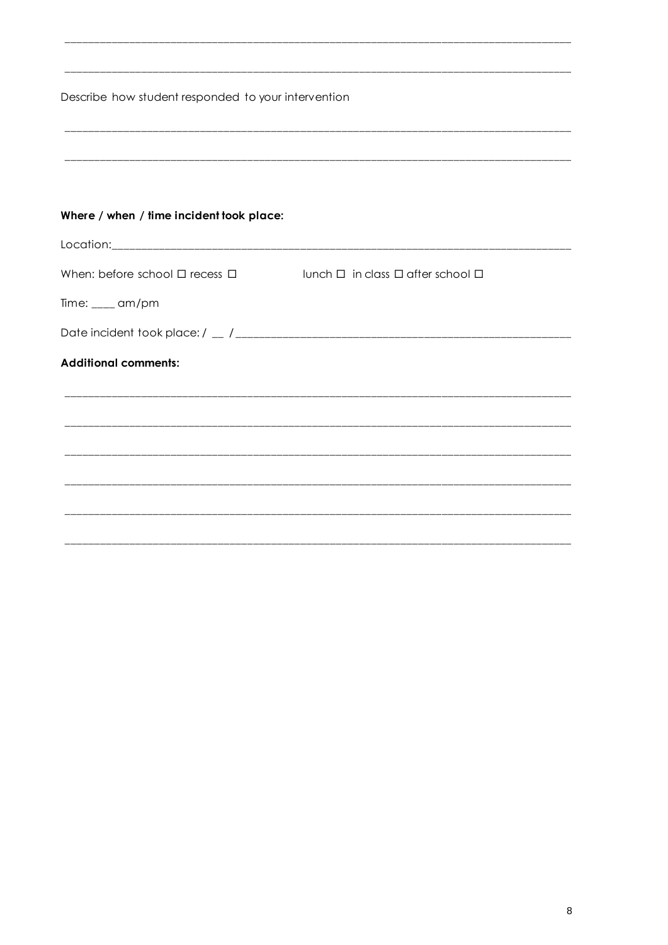| Describe how student responded to your intervention |                                                      |  |
|-----------------------------------------------------|------------------------------------------------------|--|
|                                                     |                                                      |  |
|                                                     |                                                      |  |
| Where / when / time incident took place:            |                                                      |  |
|                                                     |                                                      |  |
| When: before school $\Box$ recess $\Box$            | $l$ lunch $\Box$ in class $\Box$ after school $\Box$ |  |
| Time: $\frac{1}{2}$ am/pm                           |                                                      |  |
|                                                     |                                                      |  |
| <b>Additional comments:</b>                         |                                                      |  |
|                                                     |                                                      |  |
|                                                     |                                                      |  |
|                                                     |                                                      |  |
|                                                     |                                                      |  |
|                                                     |                                                      |  |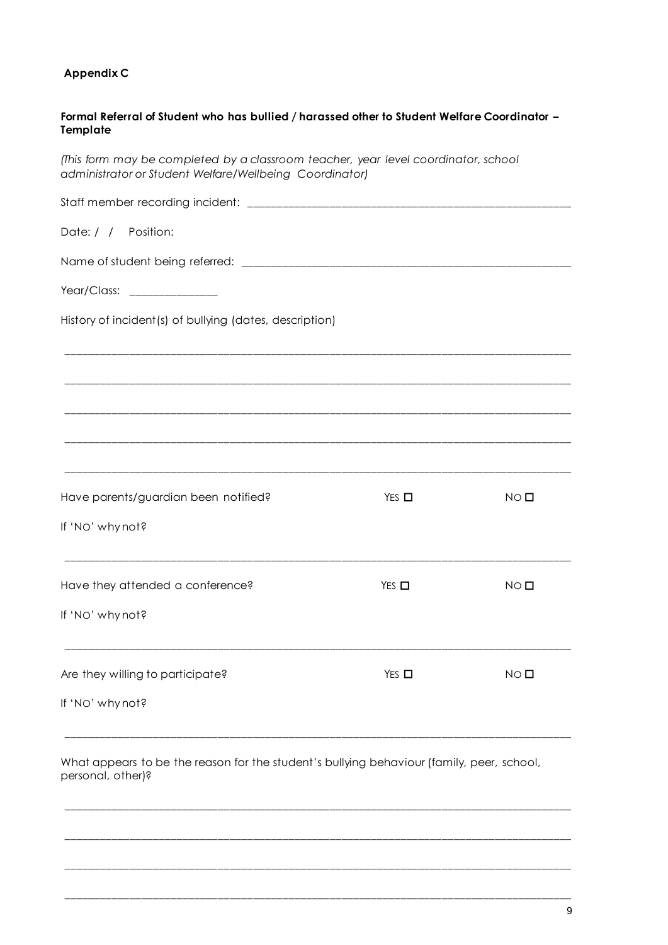# **Appendix C**

| Formal Referral of Student who has bullied / harassed other to Student Welfare Coordinator -<br>Template                                      |                 |                 |  |  |  |
|-----------------------------------------------------------------------------------------------------------------------------------------------|-----------------|-----------------|--|--|--|
| (This form may be completed by a classroom teacher, year level coordinator, school<br>administrator or Student Welfare/Wellbeing Coordinator) |                 |                 |  |  |  |
|                                                                                                                                               |                 |                 |  |  |  |
| Date: / / Position:                                                                                                                           |                 |                 |  |  |  |
|                                                                                                                                               |                 |                 |  |  |  |
| Year/Class: ________________                                                                                                                  |                 |                 |  |  |  |
| History of incident(s) of bullying (dates, description)                                                                                       |                 |                 |  |  |  |
|                                                                                                                                               |                 |                 |  |  |  |
|                                                                                                                                               |                 |                 |  |  |  |
|                                                                                                                                               |                 |                 |  |  |  |
| Have parents/guardian been notified?                                                                                                          | $Yes$ $\square$ | $NO$ $\square$  |  |  |  |
| If 'No' why not?                                                                                                                              |                 |                 |  |  |  |
| Have they attended a conference?                                                                                                              | $Yes \Box$      | NO <sub>1</sub> |  |  |  |
| If 'NO' why not?                                                                                                                              |                 |                 |  |  |  |
| Are they willing to participate?                                                                                                              | $Yes$ $\square$ | $NO$ $\square$  |  |  |  |
| If 'No' why not?                                                                                                                              |                 |                 |  |  |  |
| What appears to be the reason for the student's bullying behaviour (family, peer, school,<br>personal, other)?                                |                 |                 |  |  |  |
|                                                                                                                                               |                 |                 |  |  |  |
|                                                                                                                                               |                 |                 |  |  |  |
|                                                                                                                                               |                 |                 |  |  |  |

\_\_\_\_\_\_\_\_\_\_\_\_\_\_\_\_\_\_\_\_\_\_\_\_\_\_\_\_\_\_\_\_\_\_\_\_\_\_\_\_\_\_\_\_\_\_\_\_\_\_\_\_\_\_\_\_\_\_\_\_\_\_\_\_\_\_\_\_\_\_\_\_\_\_\_\_\_\_\_\_\_\_\_\_\_\_